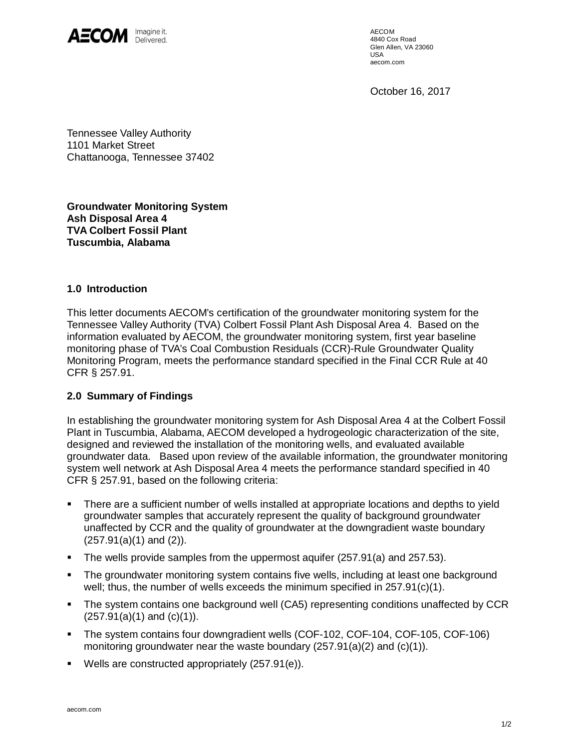

AECOM 4840 Cox Road Glen Allen, VA 23060 USA aecom.com

October 16, 2017

Tennessee Valley Authority 1101 Market Street Chattanooga, Tennessee 37402

**Groundwater Monitoring System Ash Disposal Area 4 TVA Colbert Fossil Plant Tuscumbia, Alabama**

## **1.0 Introduction**

This letter documents AECOM's certification of the groundwater monitoring system for the Tennessee Valley Authority (TVA) Colbert Fossil Plant Ash Disposal Area 4. Based on the information evaluated by AECOM, the groundwater monitoring system, first year baseline monitoring phase of TVA's Coal Combustion Residuals (CCR)-Rule Groundwater Quality Monitoring Program, meets the performance standard specified in the Final CCR Rule at 40 CFR § 257.91.

## **2.0 Summary of Findings**

In establishing the groundwater monitoring system for Ash Disposal Area 4 at the Colbert Fossil Plant in Tuscumbia, Alabama, AECOM developed a hydrogeologic characterization of the site, designed and reviewed the installation of the monitoring wells, and evaluated available groundwater data. Based upon review of the available information, the groundwater monitoring system well network at Ash Disposal Area 4 meets the performance standard specified in 40 CFR § 257.91, based on the following criteria:

- There are a sufficient number of wells installed at appropriate locations and depths to yield groundwater samples that accurately represent the quality of background groundwater unaffected by CCR and the quality of groundwater at the downgradient waste boundary (257.91(a)(1) and (2)).
- § The wells provide samples from the uppermost aquifer (257.91(a) and 257.53).
- § The groundwater monitoring system contains five wells, including at least one background well; thus, the number of wells exceeds the minimum specified in 257.91(c)(1).
- The system contains one background well (CA5) representing conditions unaffected by CCR  $(257.91(a)(1)$  and  $(c)(1))$ .
- The system contains four downgradient wells (COF-102, COF-104, COF-105, COF-106) monitoring groundwater near the waste boundary (257.91(a)(2) and (c)(1)).
- Wells are constructed appropriately (257.91(e)).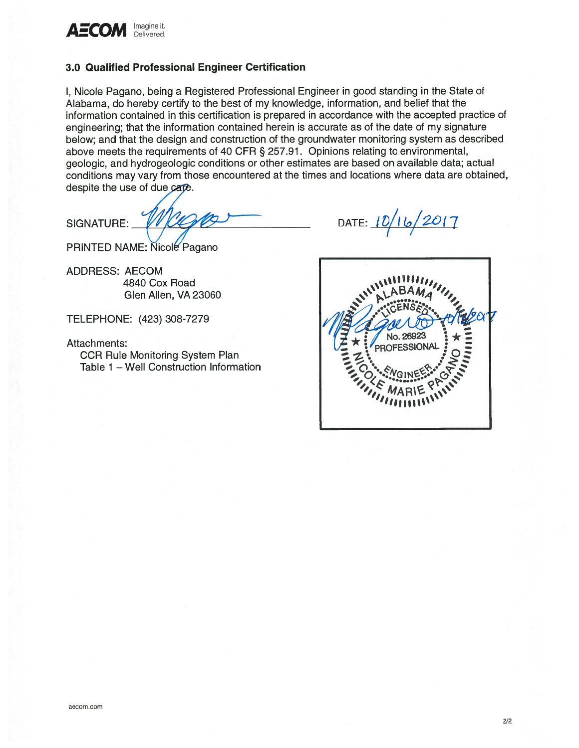

## 3.0 Qualified Professional Engineer Certification

I. Nicole Pagano, being a Registered Professional Engineer in good standing in the State of Alabama, do hereby certify to the best of my knowledge, information, and belief that the information contained in this certification is prepared in accordance with the accepted practice of engineering; that the information contained herein is accurate as of the date of my signature below; and that the design and construction of the groundwater monitoring system as described above meets the requirements of 40 CFR § 257.91. Opinions relating to environmental, geologic, and hydrogeologic conditions or other estimates are based on available data; actual conditions may vary from those encountered at the times and locations where data are obtained, despite the use of due care.

SIGNATURE:

PRINTED NAME: Nicole Pagano

- **ADDRESS: AECOM** 4840 Cox Road Glen Allen, VA 23060
- TELEPHONE: (423) 308-7279
- Attachments:

**CCR Rule Monitoring System Plan** Table 1 - Well Construction Information

DATE:  $10/16/2017$ 

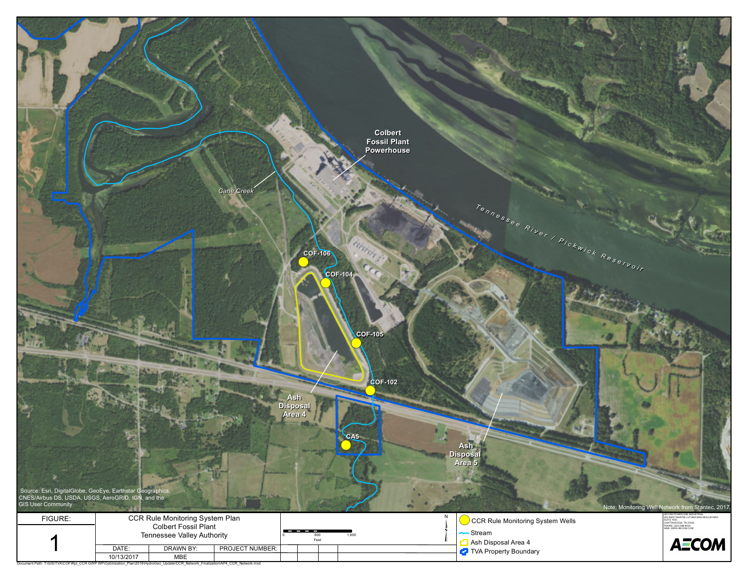